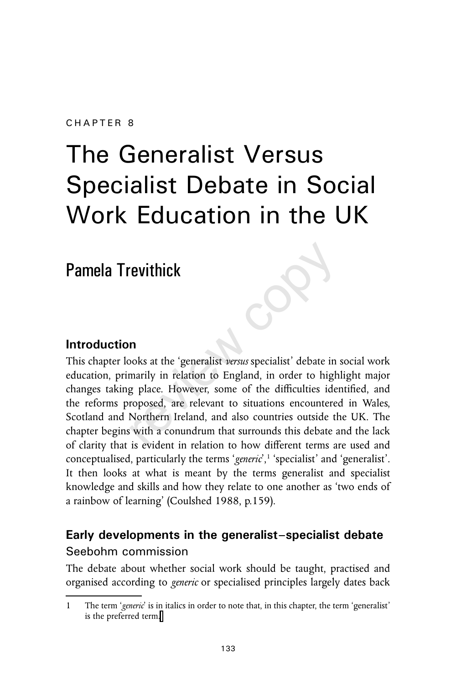#### CHAPTER 8

# The Generalist Versus Specialist Debate in Social Work Education in the UK

Pamela Trevithick

## **Introduction**

This chapter looks at the 'generalist *versus* specialist' debate in social work education, primarily in relation to England, in order to highlight major changes taking place. However, some of the difficulties identified, and the reforms proposed, are relevant to situations encountered in Wales, Scotland and Northern Ireland, and also countries outside the UK. The chapter begins with a conundrum that surrounds this debate and the lack of clarity that is evident in relation to how different terms are used and conceptualised, particularly the terms 'generic',<sup>1</sup> 'specialist' and 'generalist'. It then looks at what is meant by the terms generalist and specialist knowledge and skills and how they relate to one another as 'two ends of a rainbow of learning' (Coulshed 1988, p.159). review copy

# **Early developments in the generalist–specialist debate** Seebohm commission

The debate about whether social work should be taught, practised and organised according to *generic* or specialised principles largely dates back

<sup>1</sup> The term '*generic*' is in italics in order to note that, in this chapter, the term 'generalist' is the preferred term.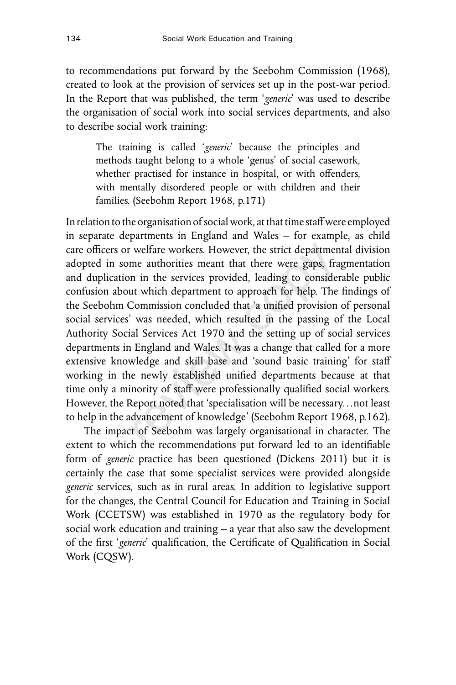to recommendations put forward by the Seebohm Commission (1968), created to look at the provision of services set up in the post-war period. In the Report that was published, the term '*generic*' was used to describe the organisation of social work into social services departments, and also to describe social work training:

The training is called '*generic*' because the principles and methods taught belong to a whole 'genus' of social casework, whether practised for instance in hospital, or with offenders, with mentally disordered people or with children and their families. (Seebohm Report 1968, p.171)

In relation to the organisation of social work, at that time staff were employed in separate departments in England and Wales – for example, as child care officers or welfare workers. However, the strict departmental division adopted in some authorities meant that there were gaps, fragmentation and duplication in the services provided, leading to considerable public confusion about which department to approach for help. The findings of the Seebohm Commission concluded that 'a unified provision of personal social services' was needed, which resulted in the passing of the Local Authority Social Services Act 1970 and the setting up of social services departments in England and Wales. It was a change that called for a more extensive knowledge and skill base and 'sound basic training' for staff working in the newly established unified departments because at that time only a minority of staff were professionally qualified social workers. However, the Report noted that 'specialisation will be necessary…not least to help in the advancement of knowledge' (Seebohm Report 1968, p.162). Exercise workers. However, the strict departmen<br>me authorities meant that there were gaps, fram in the services provided, leading to consider<br>ut which department to approach for help. The<br>Commission concluded that 'a unifi

The impact of Seebohm was largely organisational in character. The extent to which the recommendations put forward led to an identifiable form of *generic* practice has been questioned (Dickens 2011) but it is certainly the case that some specialist services were provided alongside *generic* services, such as in rural areas. In addition to legislative support for the changes, the Central Council for Education and Training in Social Work (CCETSW) was established in 1970 as the regulatory body for social work education and training – a year that also saw the development of the first '*generic*' qualification, the Certificate of Qualification in Social Work (CQSW).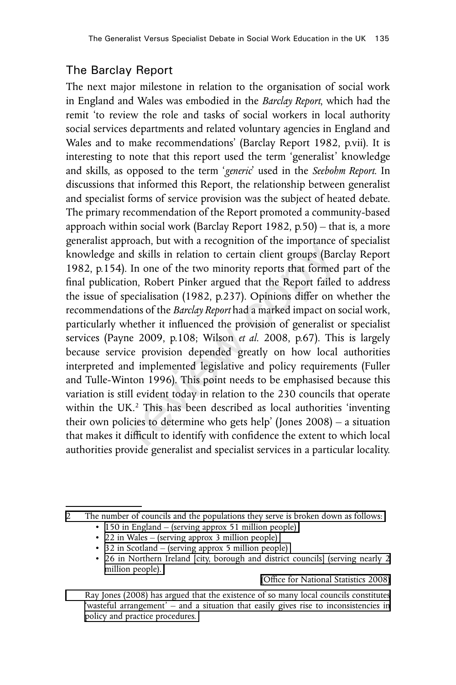# The Barclay Report

The next major milestone in relation to the organisation of social work in England and Wales was embodied in the *Barclay Report*, which had the remit 'to review the role and tasks of social workers in local authority social services departments and related voluntary agencies in England and Wales and to make recommendations' (Barclay Report 1982, p.vii). It is interesting to note that this report used the term 'generalist' knowledge and skills, as opposed to the term '*generic*' used in the *Seebohm Report*. In discussions that informed this Report, the relationship between generalist and specialist forms of service provision was the subject of heated debate. The primary recommendation of the Report promoted a community-based approach within social work (Barclay Report 1982, p.50) – that is, a more generalist approach, but with a recognition of the importance of specialist knowledge and skills in relation to certain client groups (Barclay Report 1982, p.154). In one of the two minority reports that formed part of the final publication, Robert Pinker argued that the Report failed to address the issue of specialisation (1982, p.237). Opinions differ on whether the recommendations of the *Barclay Report* had a marked impact on social work, particularly whether it influenced the provision of generalist or specialist services (Payne 2009, p.108; Wilson *et al*. 2008, p.67). This is largely because service provision depended greatly on how local authorities interpreted and implemented legislative and policy requirements (Fuller and Tulle-Winton 1996). This point needs to be emphasised because this variation is still evident today in relation to the 230 councils that operate within the UK.<sup>2</sup> This has been described as local authorities 'inventing their own policies to determine who gets help' (Jones 2008) – a situation that makes it difficult to identify with confidence the extent to which local authorities provide generalist and specialist services in a particular locality. back, but with a recognition of the importance of skills in relation to certain client groups (Bard In one of the two minority reports that formed on, Robert Pinker argued that the Report failed eccialisation (1982, p.237

[Ray Jones \(2008\) has argued that the existence of so many local councils constitutes](http://www.indosow.net)  ['wasteful arrangement' – and a situation that easily gives rise to inconsistencies in](http://www.indosow.net)  [policy and practice procedures.](http://www.indosow.net)

<sup>2</sup> [The number of councils and the populations they serve is broken down as follows:](http://www.indosow.net)

<sup>•</sup> [150 in England – \(serving approx 51 million people\)](http://www.indosow.net)

<sup>•</sup>  [22 in Wales – \(serving approx 3 million people\)](http://www.indosow.net)

<sup>•</sup>  [32 in Scotland – \(serving approx 5 million people\)](http://www.indosow.net)

<sup>• 26</sup> in Northern Ireland [city, borough and district councils] (serving nearly 2 [million people\).](http://www.indosow.net)

[<sup>\(</sup>Office for National Statistics 2008\)](http://www.indosow.net)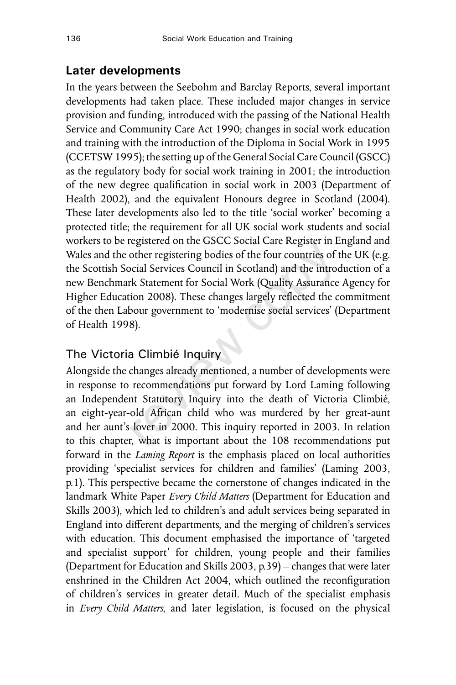## **Later developments**

In the years between the Seebohm and Barclay Reports, several important developments had taken place. These included major changes in service provision and funding, introduced with the passing of the National Health Service and Community Care Act 1990; changes in social work education and training with the introduction of the Diploma in Social Work in 1995 (CCETSW 1995); the setting up of the General Social Care Council (GSCC) as the regulatory body for social work training in 2001; the introduction of the new degree qualification in social work in 2003 (Department of Health 2002), and the equivalent Honours degree in Scotland (2004). These later developments also led to the title 'social worker' becoming a protected title; the requirement for all UK social work students and social workers to be registered on the GSCC Social Care Register in England and Wales and the other registering bodies of the four countries of the UK (e.g. the Scottish Social Services Council in Scotland) and the introduction of a new Benchmark Statement for Social Work (Quality Assurance Agency for Higher Education 2008). These changes largely reflected the commitment of the then Labour government to 'modernise social services' (Department of Health 1998). registered on the GSCC Social Care Register in Exother registering bodies of the four countries of tocial Services Council in Scotland) and the introder when the social Work (Quality Assurance ion 2008). These changes larg

## The Victoria Climbié Inquiry

Alongside the changes already mentioned, a number of developments were in response to recommendations put forward by Lord Laming following an Independent Statutory Inquiry into the death of Victoria Climbié, an eight-year-old African child who was murdered by her great-aunt and her aunt's lover in 2000. This inquiry reported in 2003. In relation to this chapter, what is important about the 108 recommendations put forward in the *Laming Report* is the emphasis placed on local authorities providing 'specialist services for children and families' (Laming 2003, p.1). This perspective became the cornerstone of changes indicated in the landmark White Paper *Every Child Matters* (Department for Education and Skills 2003), which led to children's and adult services being separated in England into different departments, and the merging of children's services with education. This document emphasised the importance of 'targeted and specialist support' for children, young people and their families (Department for Education and Skills 2003, p.39) – changes that were later enshrined in the Children Act 2004, which outlined the reconfiguration of children's services in greater detail. Much of the specialist emphasis in *Every Child Matters*, and later legislation, is focused on the physical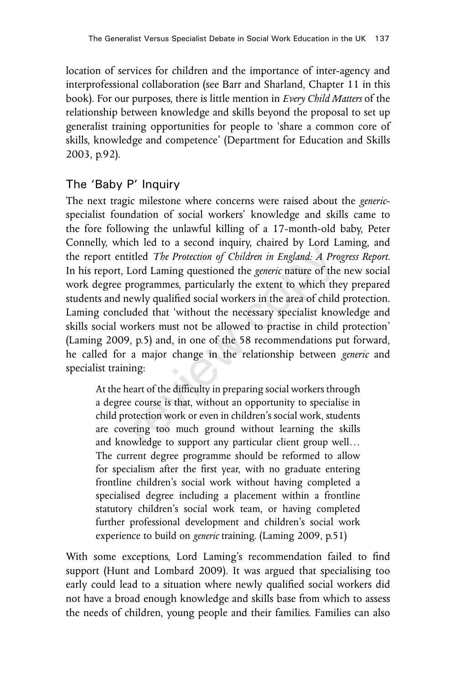location of services for children and the importance of inter-agency and interprofessional collaboration (see Barr and Sharland, Chapter 11 in this book). For our purposes, there is little mention in *Every Child Matters* of the relationship between knowledge and skills beyond the proposal to set up generalist training opportunities for people to 'share a common core of skills, knowledge and competence' (Department for Education and Skills 2003, p.92).

# The 'Baby P' Inquiry

The next tragic milestone where concerns were raised about the *generic*specialist foundation of social workers' knowledge and skills came to the fore following the unlawful killing of a 17-month-old baby, Peter Connelly, which led to a second inquiry, chaired by Lord Laming, and the report entitled *The Protection of Children in England: A Progress Report*. In his report, Lord Laming questioned the *generic* nature of the new social work degree programmes, particularly the extent to which they prepared students and newly qualified social workers in the area of child protection. Laming concluded that 'without the necessary specialist knowledge and skills social workers must not be allowed to practise in child protection' (Laming 2009, p.5) and, in one of the 58 recommendations put forward, he called for a major change in the relationship between *generic* and specialist training: ord it also a second inquiry, chaired by Lord Latitled *The Protection of Children in England: A Pro*<br>Lord Laming questioned the *generic* nature of the<br>rogrammes, particularly the extent to which the<br>ewly qualified social

At the heart of the difficulty in preparing social workers through a degree course is that, without an opportunity to specialise in child protection work or even in children's social work, students are covering too much ground without learning the skills and knowledge to support any particular client group well… The current degree programme should be reformed to allow for specialism after the first year, with no graduate entering frontline children's social work without having completed a specialised degree including a placement within a frontline statutory children's social work team, or having completed further professional development and children's social work experience to build on *generic* training. (Laming 2009, p.51)

With some exceptions, Lord Laming's recommendation failed to find support (Hunt and Lombard 2009). It was argued that specialising too early could lead to a situation where newly qualified social workers did not have a broad enough knowledge and skills base from which to assess the needs of children, young people and their families. Families can also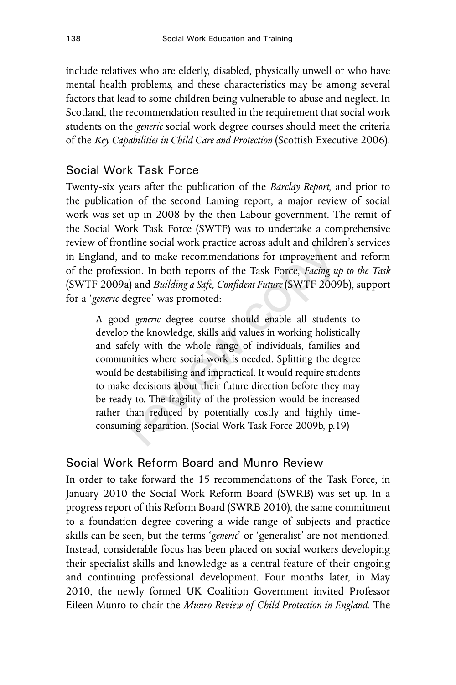include relatives who are elderly, disabled, physically unwell or who have mental health problems, and these characteristics may be among several factors that lead to some children being vulnerable to abuse and neglect. In Scotland, the recommendation resulted in the requirement that social work students on the *generic* social work degree courses should meet the criteria of the *Key Capabilities in Child Care and Protection* (Scottish Executive 2006).

#### Social Work Task Force

Twenty-six years after the publication of the *Barclay Report*, and prior to the publication of the second Laming report, a major review of social work was set up in 2008 by the then Labour government. The remit of the Social Work Task Force (SWTF) was to undertake a comprehensive review of frontline social work practice across adult and children's services in England, and to make recommendations for improvement and reform of the profession. In both reports of the Task Force, *Facing up to the Task* (SWTF 2009a) and *Building a Safe, Confident Future* (SWTF 2009b), support for a '*generic* degree' was promoted:

A good *generic* degree course should enable all students to develop the knowledge, skills and values in working holistically and safely with the whole range of individuals, families and communities where social work is needed. Splitting the degree would be destabilising and impractical. It would require students to make decisions about their future direction before they may be ready to. The fragility of the profession would be increased rather than reduced by potentially costly and highly timeconsuming separation. (Social Work Task Force 2009b, p.19) filme social work practice across adult and childrend<br>on. In both reports of the Task Force, *Facing ut*<br>) and *Building a Safe*, *Confident Future* (SWTF 2009<br>egree' was promoted:<br>*generic* degree course should enable all

### Social Work Reform Board and Munro Review

In order to take forward the 15 recommendations of the Task Force, in January 2010 the Social Work Reform Board (SWRB) was set up. In a progress report of this Reform Board (SWRB 2010), the same commitment to a foundation degree covering a wide range of subjects and practice skills can be seen, but the terms '*generic*' or 'generalist' are not mentioned. Instead, considerable focus has been placed on social workers developing their specialist skills and knowledge as a central feature of their ongoing and continuing professional development. Four months later, in May 2010, the newly formed UK Coalition Government invited Professor Eileen Munro to chair the *Munro Review of Child Protection in England*. The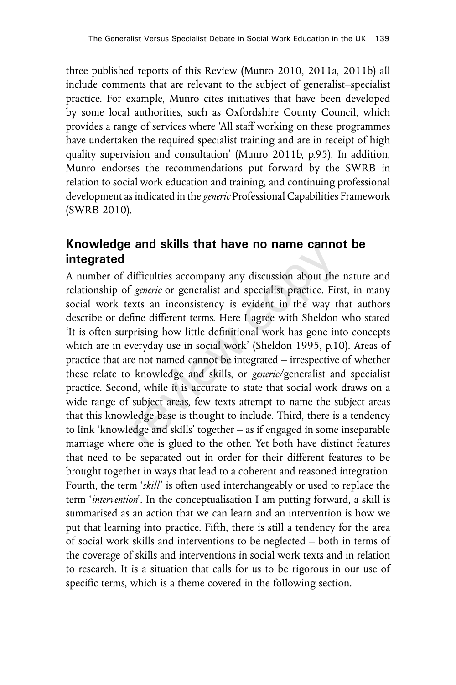three published reports of this Review (Munro 2010, 2011a, 2011b) all include comments that are relevant to the subject of generalist–specialist practice. For example, Munro cites initiatives that have been developed by some local authorities, such as Oxfordshire County Council, which provides a range of services where 'All staff working on these programmes have undertaken the required specialist training and are in receipt of high quality supervision and consultation' (Munro 2011b, p.95). In addition, Munro endorses the recommendations put forward by the SWRB in relation to social work education and training, and continuing professional development as indicated in the *generic* Professional Capabilities Framework (SWRB 2010).

# **Knowledge and skills that have no name cannot be integrated**

A number of difficulties accompany any discussion about the nature and relationship of *generic* or generalist and specialist practice. First, in many social work texts an inconsistency is evident in the way that authors describe or define different terms. Here I agree with Sheldon who stated 'It is often surprising how little definitional work has gone into concepts which are in everyday use in social work' (Sheldon 1995, p.10). Areas of practice that are not named cannot be integrated – irrespective of whether these relate to knowledge and skills, or *generic*/generalist and specialist practice. Second, while it is accurate to state that social work draws on a wide range of subject areas, few texts attempt to name the subject areas that this knowledge base is thought to include. Third, there is a tendency to link 'knowledge and skills' together – as if engaged in some inseparable marriage where one is glued to the other. Yet both have distinct features that need to be separated out in order for their different features to be brought together in ways that lead to a coherent and reasoned integration. Fourth, the term '*skill*' is often used interchangeably or used to replace the term '*intervention*'. In the conceptualisation I am putting forward, a skill is summarised as an action that we can learn and an intervention is how we put that learning into practice. Fifth, there is still a tendency for the area of social work skills and interventions to be neglected – both in terms of the coverage of skills and interventions in social work texts and in relation to research. It is a situation that calls for us to be rigorous in our use of specific terms, which is a theme covered in the following section. **and SKIIIS that have no name canno**<br>difficulties accompany any discussion about the<br>*generic* or generalist and specialist practice. First<br>exts an inconsistency is evident in the way th<br>fine different terms. Here I agree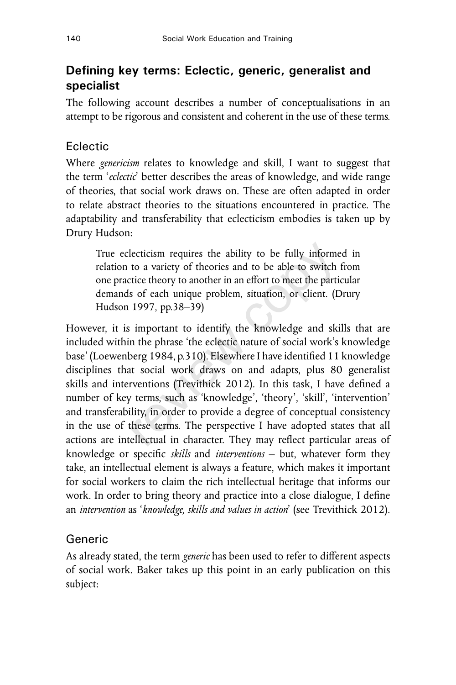# **Defining key terms: Eclectic, generic, generalist and specialist**

The following account describes a number of conceptualisations in an attempt to be rigorous and consistent and coherent in the use of these terms.

# Eclectic

Where *genericism* relates to knowledge and skill, I want to suggest that the term '*eclectic*' better describes the areas of knowledge, and wide range of theories, that social work draws on. These are often adapted in order to relate abstract theories to the situations encountered in practice. The adaptability and transferability that eclecticism embodies is taken up by Drury Hudson:

True eclecticism requires the ability to be fully informed in relation to a variety of theories and to be able to switch from one practice theory to another in an effort to meet the particular demands of each unique problem, situation, or client. (Drury Hudson 1997, pp.38–39)

However, it is important to identify the knowledge and skills that are included within the phrase 'the eclectic nature of social work's knowledge base' (Loewenberg 1984, p.310). Elsewhere I have identified 11 knowledge disciplines that social work draws on and adapts, plus 80 generalist skills and interventions (Trevithick 2012). In this task, I have defined a number of key terms, such as 'knowledge', 'theory', 'skill', 'intervention' and transferability, in order to provide a degree of conceptual consistency in the use of these terms. The perspective I have adopted states that all actions are intellectual in character. They may reflect particular areas of knowledge or specific *skills* and *interventions* – but, whatever form they take, an intellectual element is always a feature, which makes it important for social workers to claim the rich intellectual heritage that informs our work. In order to bring theory and practice into a close dialogue, I define an *intervention* as '*knowledge, skills and values in action*' (see Trevithick 2012). lecticism requires the ability to be fully informe<br>to a variety of theories and to be able to switch i<br>tice theory to another in an effort to meet the parties<br>s of each unique problem, situation, or client. (D<br>1997, pp.38–

# Generic

As already stated, the term *generic* has been used to refer to different aspects of social work. Baker takes up this point in an early publication on this subject: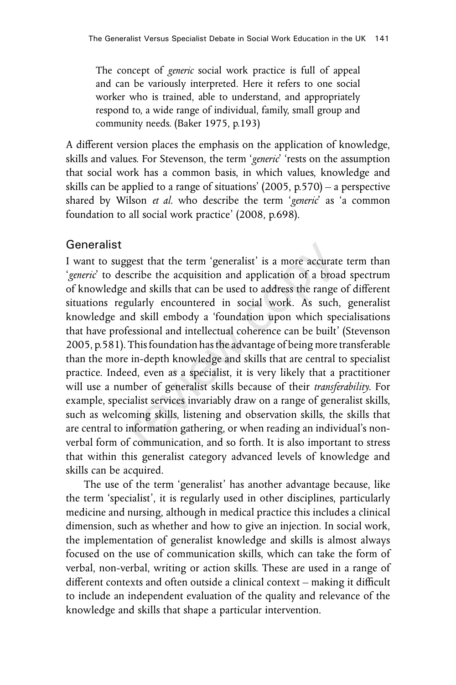The concept of *generic* social work practice is full of appeal and can be variously interpreted. Here it refers to one social worker who is trained, able to understand, and appropriately respond to, a wide range of individual, family, small group and community needs. (Baker 1975, p.193)

A different version places the emphasis on the application of knowledge, skills and values. For Stevenson, the term '*generic*' 'rests on the assumption that social work has a common basis, in which values, knowledge and skills can be applied to a range of situations' (2005, p.570) – a perspective shared by Wilson *et al*. who describe the term '*generic*' as 'a common foundation to all social work practice' (2008, p.698).

### Generalist

I want to suggest that the term 'generalist' is a more accurate term than '*generic*' to describe the acquisition and application of a broad spectrum of knowledge and skills that can be used to address the range of different situations regularly encountered in social work. As such, generalist knowledge and skill embody a 'foundation upon which specialisations that have professional and intellectual coherence can be built' (Stevenson 2005, p.581). This foundation has the advantage of being more transferable than the more in-depth knowledge and skills that are central to specialist practice. Indeed, even as a specialist, it is very likely that a practitioner will use a number of generalist skills because of their *transferability*. For example, specialist services invariably draw on a range of generalist skills, such as welcoming skills, listening and observation skills, the skills that are central to information gathering, or when reading an individual's nonverbal form of communication, and so forth. It is also important to stress that within this generalist category advanced levels of knowledge and skills can be acquired. gest that the term 'generalist' is a more accurate<br>cribe the acquisition and application of a broad<br>and skills that can be used to address the range<br>ularly encountered in social work. As such,<br>d skill embody a 'foundation

The use of the term 'generalist' has another advantage because, like the term 'specialist', it is regularly used in other disciplines, particularly medicine and nursing, although in medical practice this includes a clinical dimension, such as whether and how to give an injection. In social work, the implementation of generalist knowledge and skills is almost always focused on the use of communication skills, which can take the form of verbal, non-verbal, writing or action skills. These are used in a range of different contexts and often outside a clinical context – making it difficult to include an independent evaluation of the quality and relevance of the knowledge and skills that shape a particular intervention.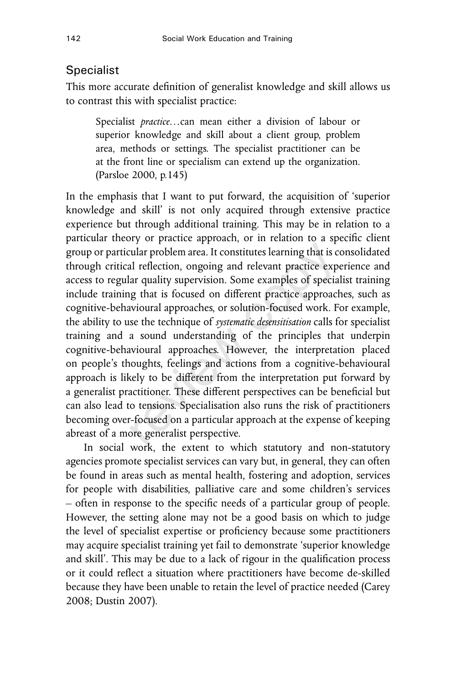## Specialist

This more accurate definition of generalist knowledge and skill allows us to contrast this with specialist practice:

Specialist *practice*…can mean either a division of labour or superior knowledge and skill about a client group, problem area, methods or settings. The specialist practitioner can be at the front line or specialism can extend up the organization. (Parsloe 2000, p.145)

In the emphasis that I want to put forward, the acquisition of 'superior knowledge and skill' is not only acquired through extensive practice experience but through additional training. This may be in relation to a particular theory or practice approach, or in relation to a specific client group or particular problem area. It constitutes learning that is consolidated through critical reflection, ongoing and relevant practice experience and access to regular quality supervision. Some examples of specialist training include training that is focused on different practice approaches, such as cognitive-behavioural approaches, or solution-focused work. For example, the ability to use the technique of *systematic desensitisation* calls for specialist training and a sound understanding of the principles that underpin cognitive-behavioural approaches. However, the interpretation placed on people's thoughts, feelings and actions from a cognitive-behavioural approach is likely to be different from the interpretation put forward by a generalist practitioner. These different perspectives can be beneficial but can also lead to tensions. Specialisation also runs the risk of practitioners becoming over-focused on a particular approach at the expense of keeping abreast of a more generalist perspective. The problem area. It constitutes learning that is could reflection, ongoing and relevant practice expert are quality supervision. Some examples of special and the special and the special and the special and the special and

In social work, the extent to which statutory and non-statutory agencies promote specialist services can vary but, in general, they can often be found in areas such as mental health, fostering and adoption, services for people with disabilities, palliative care and some children's services – often in response to the specific needs of a particular group of people. However, the setting alone may not be a good basis on which to judge the level of specialist expertise or proficiency because some practitioners may acquire specialist training yet fail to demonstrate 'superior knowledge and skill'. This may be due to a lack of rigour in the qualification process or it could reflect a situation where practitioners have become de-skilled because they have been unable to retain the level of practice needed (Carey 2008; Dustin 2007).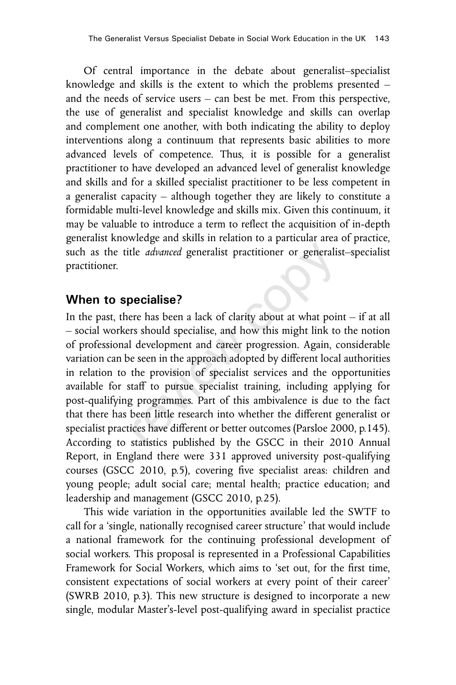Of central importance in the debate about generalist–specialist knowledge and skills is the extent to which the problems presented – and the needs of service users – can best be met. From this perspective, the use of generalist and specialist knowledge and skills can overlap and complement one another, with both indicating the ability to deploy interventions along a continuum that represents basic abilities to more advanced levels of competence. Thus, it is possible for a generalist practitioner to have developed an advanced level of generalist knowledge and skills and for a skilled specialist practitioner to be less competent in a generalist capacity – although together they are likely to constitute a formidable multi-level knowledge and skills mix. Given this continuum, it may be valuable to introduce a term to reflect the acquisition of in-depth generalist knowledge and skills in relation to a particular area of practice, such as the title *advanced* generalist practitioner or generalist–specialist practitioner.

## **When to specialise?**

In the past, there has been a lack of clarity about at what point – if at all – social workers should specialise, and how this might link to the notion of professional development and career progression. Again, considerable variation can be seen in the approach adopted by different local authorities in relation to the provision of specialist services and the opportunities available for staff to pursue specialist training, including applying for post-qualifying programmes. Part of this ambivalence is due to the fact that there has been little research into whether the different generalist or specialist practices have different or better outcomes (Parsloe 2000, p.145). According to statistics published by the GSCC in their 2010 Annual Report, in England there were 331 approved university post-qualifying courses (GSCC 2010, p.5), covering five specialist areas: children and young people; adult social care; mental health; practice education; and leadership and management (GSCC 2010, p.25). de *divanced* generalist practitioner or generalis<br> **Decialise?**<br>
ere has been a lack of clarity about at what points<br>
should specialise, and how this might link to<br>
1 development and career progression. Again, c<br>
e seen i

This wide variation in the opportunities available led the SWTF to call for a 'single, nationally recognised career structure' that would include a national framework for the continuing professional development of social workers. This proposal is represented in a Professional Capabilities Framework for Social Workers, which aims to 'set out, for the first time, consistent expectations of social workers at every point of their career' (SWRB 2010, p.3). This new structure is designed to incorporate a new single, modular Master's-level post-qualifying award in specialist practice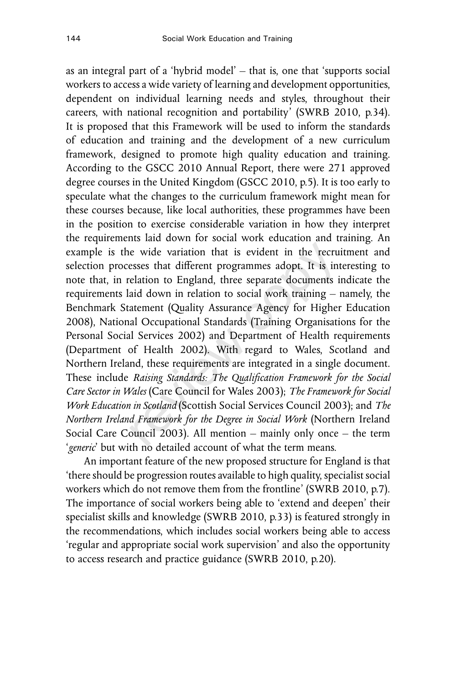as an integral part of a 'hybrid model' – that is, one that 'supports social workers to access a wide variety of learning and development opportunities, dependent on individual learning needs and styles, throughout their careers, with national recognition and portability' (SWRB 2010, p.34). It is proposed that this Framework will be used to inform the standards of education and training and the development of a new curriculum framework, designed to promote high quality education and training. According to the GSCC 2010 Annual Report, there were 271 approved degree courses in the United Kingdom (GSCC 2010, p.5). It is too early to speculate what the changes to the curriculum framework might mean for these courses because, like local authorities, these programmes have been in the position to exercise considerable variation in how they interpret the requirements laid down for social work education and training. An example is the wide variation that is evident in the recruitment and selection processes that different programmes adopt. It is interesting to note that, in relation to England, three separate documents indicate the requirements laid down in relation to social work training – namely, the Benchmark Statement (Quality Assurance Agency for Higher Education 2008), National Occupational Standards (Training Organisations for the Personal Social Services 2002) and Department of Health requirements (Department of Health 2002). With regard to Wales, Scotland and Northern Ireland, these requirements are integrated in a single document. These include *Raising Standards: The Qualification Framework for the Social Care Sector in Wales* (Care Council for Wales 2003); *The Framework for Social Work Education in Scotland* (Scottish Social Services Council 2003); and *The Northern Ireland Framework for the Degree in Social Work* (Northern Ireland Social Care Council 2003). All mention – mainly only once – the term '*generic*' but with no detailed account of what the term means. e wide variation that is evident in the recrumesses that different programmes adopt. It is intelation to England, three separate documents is aid down in relation to social work training – in atement (Quality Assurance Age

An important feature of the new proposed structure for England is that 'there should be progression routes available to high quality, specialist social workers which do not remove them from the frontline' (SWRB 2010, p.7). The importance of social workers being able to 'extend and deepen' their specialist skills and knowledge (SWRB 2010, p.33) is featured strongly in the recommendations, which includes social workers being able to access 'regular and appropriate social work supervision' and also the opportunity to access research and practice guidance (SWRB 2010, p.20).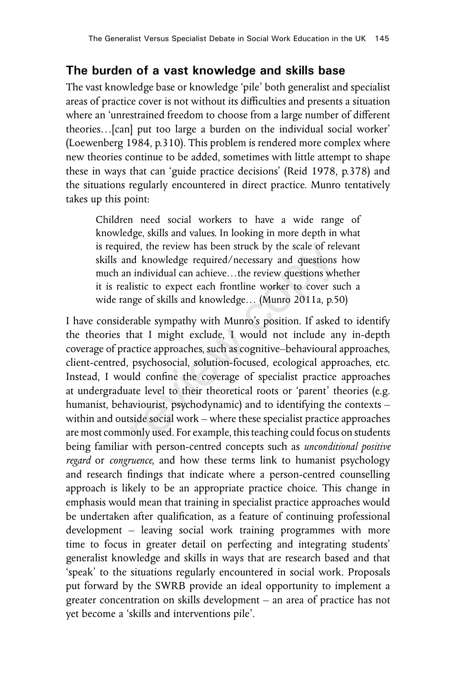## **The burden of a vast knowledge and skills base**

The vast knowledge base or knowledge 'pile' both generalist and specialist areas of practice cover is not without its difficulties and presents a situation where an 'unrestrained freedom to choose from a large number of different theories…[can] put too large a burden on the individual social worker' (Loewenberg 1984, p.310). This problem is rendered more complex where new theories continue to be added, sometimes with little attempt to shape these in ways that can 'guide practice decisions' (Reid 1978, p.378) and the situations regularly encountered in direct practice. Munro tentatively takes up this point:

Children need social workers to have a wide range of knowledge, skills and values. In looking in more depth in what is required, the review has been struck by the scale of relevant skills and knowledge required/necessary and questions how much an individual can achieve…the review questions whether it is realistic to expect each frontline worker to cover such a wide range of skills and knowledge… (Munro 2011a, p.50)

I have considerable sympathy with Munro's position. If asked to identify the theories that I might exclude, I would not include any in-depth coverage of practice approaches, such as cognitive–behavioural approaches, client-centred, psychosocial, solution-focused, ecological approaches, etc. Instead, I would confine the coverage of specialist practice approaches at undergraduate level to their theoretical roots or 'parent' theories (e.g. humanist, behaviourist, psychodynamic) and to identifying the contexts – within and outside social work – where these specialist practice approaches are most commonly used. For example, this teaching could focus on students being familiar with person-centred concepts such as *unconditional positive regard* or *congruence*, and how these terms link to humanist psychology and research findings that indicate where a person-centred counselling approach is likely to be an appropriate practice choice. This change in emphasis would mean that training in specialist practice approaches would be undertaken after qualification, as a feature of continuing professional development – leaving social work training programmes with more time to focus in greater detail on perfecting and integrating students' generalist knowledge and skills in ways that are research based and that 'speak' to the situations regularly encountered in social work. Proposals put forward by the SWRB provide an ideal opportunity to implement a greater concentration on skills development – an area of practice has not yet become a 'skills and interventions pile'. red, the review has been struck by the scale of relead knowledge required/necessary and questions in individual can achieve...the review questions whe listic to expect each frontline worker to cover su age of skills and kn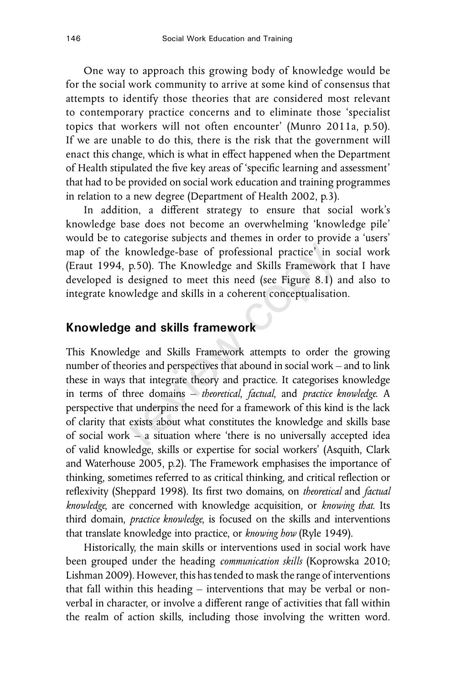One way to approach this growing body of knowledge would be for the social work community to arrive at some kind of consensus that attempts to identify those theories that are considered most relevant to contemporary practice concerns and to eliminate those 'specialist topics that workers will not often encounter' (Munro 2011a, p.50). If we are unable to do this, there is the risk that the government will enact this change, which is what in effect happened when the Department of Health stipulated the five key areas of 'specific learning and assessment' that had to be provided on social work education and training programmes in relation to a new degree (Department of Health 2002, p.3).

In addition, a different strategy to ensure that social work's knowledge base does not become an overwhelming 'knowledge pile' would be to categorise subjects and themes in order to provide a 'users' map of the knowledge-base of professional practice' in social work (Eraut 1994, p.50). The Knowledge and Skills Framework that I have developed is designed to meet this need (see Figure 8.1) and also to integrate knowledge and skills in a coherent conceptualisation.

## **Knowledge and skills framework**

This Knowledge and Skills Framework attempts to order the growing number of theories and perspectives that abound in social work – and to link these in ways that integrate theory and practice. It categorises knowledge in terms of three domains – *theoretical*, *factual*, and *practice knowledge*. A perspective that underpins the need for a framework of this kind is the lack of clarity that exists about what constitutes the knowledge and skills base of social work – a situation where 'there is no universally accepted idea of valid knowledge, skills or expertise for social workers' (Asquith, Clark and Waterhouse 2005, p.2). The Framework emphasises the importance of thinking, sometimes referred to as critical thinking, and critical reflection or reflexivity (Sheppard 1998). Its first two domains, on *theoretical* and *factual knowledge*, are concerned with knowledge acquisition, or *knowing that*. Its third domain, *practice knowledge*, is focused on the skills and interventions that translate knowledge into practice, or *knowing how* (Ryle 1949). mowledge-base of professional practice' in sep.50). The Knowledge and Skills Framework<br>designed to meet this need (see Figure 8.1) a<br>wledge and skills in a coherent conceptualisatio<br>example and skills framework<br>ge and Skil

Historically, the main skills or interventions used in social work have been grouped under the heading *communication skills* (Koprowska 2010; Lishman 2009). However, this has tended to mask the range of interventions that fall within this heading – interventions that may be verbal or nonverbal in character, or involve a different range of activities that fall within the realm of action skills, including those involving the written word.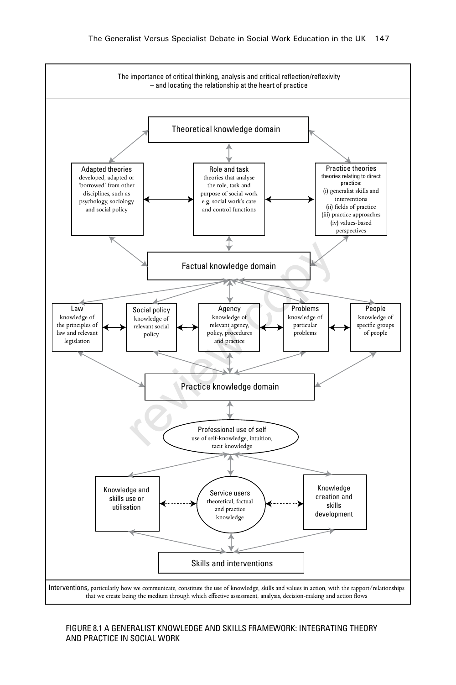

#### Figure 8.1 A generalist knowledge and skills framework: Integrating theory and practice in social work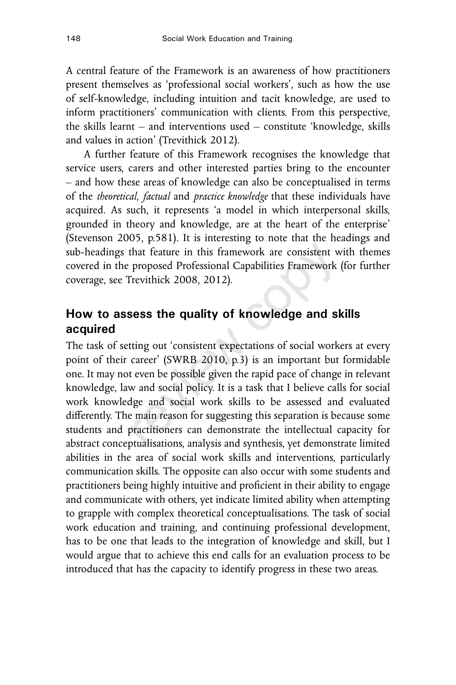A central feature of the Framework is an awareness of how practitioners present themselves as 'professional social workers', such as how the use of self-knowledge, including intuition and tacit knowledge, are used to inform practitioners' communication with clients. From this perspective, the skills learnt – and interventions used – constitute 'knowledge, skills and values in action' (Trevithick 2012).

A further feature of this Framework recognises the knowledge that service users, carers and other interested parties bring to the encounter – and how these areas of knowledge can also be conceptualised in terms of the *theoretical*, *factual* and *practice knowledge* that these individuals have acquired. As such, it represents 'a model in which interpersonal skills, grounded in theory and knowledge, are at the heart of the enterprise' (Stevenson 2005, p.581). It is interesting to note that the headings and sub-headings that feature in this framework are consistent with themes covered in the proposed Professional Capabilities Framework (for further coverage, see Trevithick 2008, 2012).

# **How to assess the quality of knowledge and skills acquired**

The task of setting out 'consistent expectations of social workers at every point of their career' (SWRB 2010, p.3) is an important but formidable one. It may not even be possible given the rapid pace of change in relevant knowledge, law and social policy. It is a task that I believe calls for social work knowledge and social work skills to be assessed and evaluated differently. The main reason for suggesting this separation is because some students and practitioners can demonstrate the intellectual capacity for abstract conceptualisations, analysis and synthesis, yet demonstrate limited abilities in the area of social work skills and interventions, particularly communication skills. The opposite can also occur with some students and practitioners being highly intuitive and proficient in their ability to engage and communicate with others, yet indicate limited ability when attempting to grapple with complex theoretical conceptualisations. The task of social work education and training, and continuing professional development, has to be one that leads to the integration of knowledge and skill, but I would argue that to achieve this end calls for an evaluation process to be introduced that has the capacity to identify progress in these two areas. that feature in this framework are consistent w<br>proposed Professional Capabilities Framework<br>Trevithick 2008, 2012).<br>**sess the quality of knowledge and sk**<br>tting out 'consistent expectations of social work<br>career' (SWRB 20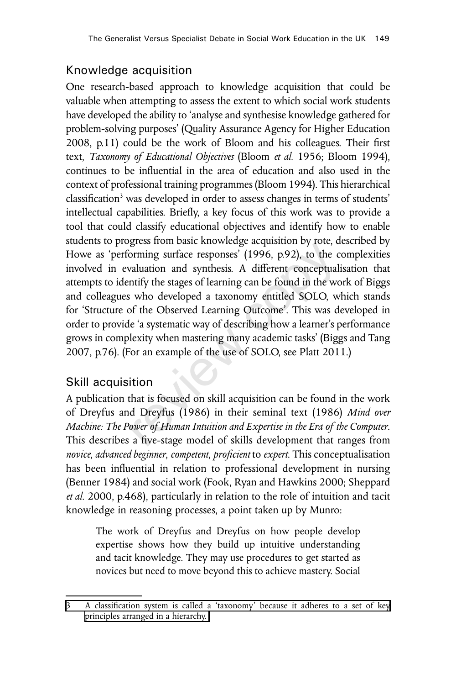# Knowledge acquisition

One research-based approach to knowledge acquisition that could be valuable when attempting to assess the extent to which social work students have developed the ability to 'analyse and synthesise knowledge gathered for problem-solving purposes' (Quality Assurance Agency for Higher Education 2008, p.11) could be the work of Bloom and his colleagues. Their first text, *Taxonomy of Educational Objectives* (Bloom *et al.* 1956; Bloom 1994), continues to be influential in the area of education and also used in the context of professional training programmes (Bloom 1994). This hierarchical classification<sup>3</sup> was developed in order to assess changes in terms of students' intellectual capabilities. Briefly, a key focus of this work was to provide a tool that could classify educational objectives and identify how to enable students to progress from basic knowledge acquisition by rote, described by Howe as 'performing surface responses' (1996, p.92), to the complexities involved in evaluation and synthesis. A different conceptualisation that attempts to identify the stages of learning can be found in the work of Biggs and colleagues who developed a taxonomy entitled SOLO, which stands for 'Structure of the Observed Learning Outcome'. This was developed in order to provide 'a systematic way of describing how a learner's performance grows in complexity when mastering many academic tasks' (Biggs and Tang 2007, p.76). (For an example of the use of SOLO, see Platt 2011.) gress nom basic knowledge acquisition by foce, domining surface responses' (1996, p.92), to the c<br>valuation and synthesis. A different conceptuali<br>ntify the stages of learning can be found in the we<br>is who developed a tax

# Skill acquisition

A publication that is focused on skill acquisition can be found in the work of Dreyfus and Dreyfus (1986) in their seminal text (1986) *Mind over Machine: The Power of Human Intuition and Expertise in the Era of the Computer*. This describes a five-stage model of skills development that ranges from *novice*, *advanced beginner*, *competent*, *proficient* to *expert*. This conceptualisation has been influential in relation to professional development in nursing (Benner 1984) and social work (Fook, Ryan and Hawkins 2000; Sheppard *et al*. 2000, p.468), particularly in relation to the role of intuition and tacit knowledge in reasoning processes, a point taken up by Munro:

The work of Dreyfus and Dreyfus on how people develop expertise shows how they build up intuitive understanding and tacit knowledge. They may use procedures to get started as novices but need to move beyond this to achieve mastery. Social

<sup>3</sup> [A classification system is called a 'taxonomy' because it adheres to a set of key](http://www.indosow.net)  [principles arranged in a hierarchy.](http://www.indosow.net)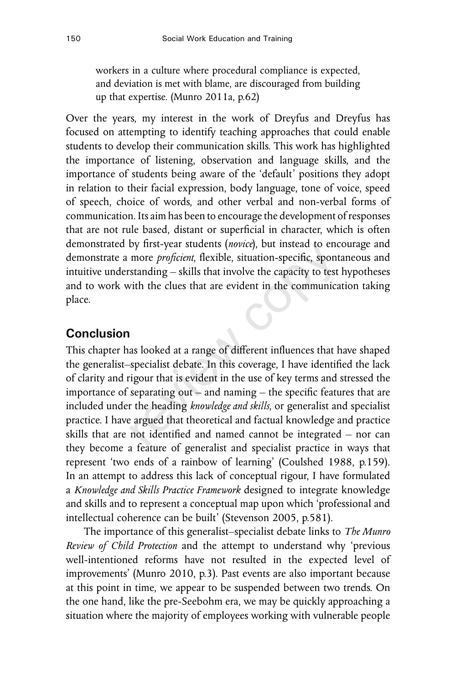workers in a culture where procedural compliance is expected, and deviation is met with blame, are discouraged from building up that expertise. (Munro 2011a, p.62)

Over the years, my interest in the work of Dreyfus and Dreyfus has focused on attempting to identify teaching approaches that could enable students to develop their communication skills. This work has highlighted the importance of listening, observation and language skills, and the importance of students being aware of the 'default' positions they adopt in relation to their facial expression, body language, tone of voice, speed of speech, choice of words, and other verbal and non-verbal forms of communication. Its aim has been to encourage the development of responses that are not rule based, distant or superficial in character, which is often demonstrated by first-year students (*novice*), but instead to encourage and demonstrate a more *proficient*, flexible, situation-specific, spontaneous and intuitive understanding – skills that involve the capacity to test hypotheses and to work with the clues that are evident in the communication taking place.

## **Conclusion**

This chapter has looked at a range of different influences that have shaped the generalist–specialist debate. In this coverage, I have identified the lack of clarity and rigour that is evident in the use of key terms and stressed the importance of separating out – and naming – the specific features that are included under the heading *knowledge and skills*, or generalist and specialist practice. I have argued that theoretical and factual knowledge and practice skills that are not identified and named cannot be integrated – nor can they become a feature of generalist and specialist practice in ways that represent 'two ends of a rainbow of learning' (Coulshed 1988, p.159). In an attempt to address this lack of conceptual rigour, I have formulated a *Knowledge and Skills Practice Framework* designed to integrate knowledge and skills and to represent a conceptual map upon which 'professional and intellectual coherence can be built' (Stevenson 2005, p.581). by first-year students (*novice*), but instead to enc<br>more *proficient*, flexible, situation-specific, spont<br>standing – skills that involve the capacity to test<br>vith the clues that are evident in the communica<br>as looked at

The importance of this generalist–specialist debate links to *The Munro Review of Child Protection* and the attempt to understand why 'previous well-intentioned reforms have not resulted in the expected level of improvements' (Munro 2010, p.3). Past events are also important because at this point in time, we appear to be suspended between two trends. On the one hand, like the pre-Seebohm era, we may be quickly approaching a situation where the majority of employees working with vulnerable people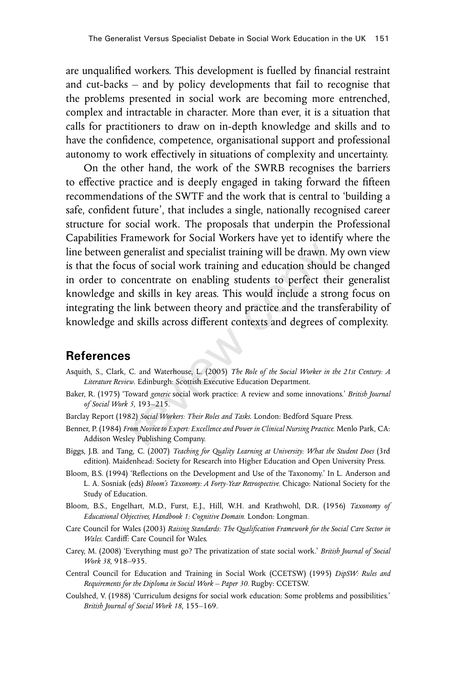are unqualified workers. This development is fuelled by financial restraint and cut-backs – and by policy developments that fail to recognise that the problems presented in social work are becoming more entrenched, complex and intractable in character. More than ever, it is a situation that calls for practitioners to draw on in-depth knowledge and skills and to have the confidence, competence, organisational support and professional autonomy to work effectively in situations of complexity and uncertainty.

On the other hand, the work of the SWRB recognises the barriers to effective practice and is deeply engaged in taking forward the fifteen recommendations of the SWTF and the work that is central to 'building a safe, confident future', that includes a single, nationally recognised career structure for social work. The proposals that underpin the Professional Capabilities Framework for Social Workers have yet to identify where the line between generalist and specialist training will be drawn. My own view is that the focus of social work training and education should be changed in order to concentrate on enabling students to perfect their generalist knowledge and skills in key areas. This would include a strong focus on integrating the link between theory and practice and the transferability of knowledge and skills across different contexts and degrees of complexity. eneralist and specialist training will be drawn. My<br>us of social work training and education should l<br>nncentrate on enabling students to perfect their<br>d skills in key areas. This would include a stron<br>e link between theory

## **References**

- Asquith, S., Clark, C. and Waterhouse, L. (2005) *The Role of the Social Worker in the 21st Century: A Literature Review*. Edinburgh: Scottish Executive Education Department.
- Baker, R. (1975) 'Toward *generic* social work practice: A review and some innovations.' *British Journal of Social Work 5*, 193–215.
- Barclay Report (1982) *Social Workers: Their Roles and Tasks*. London: Bedford Square Press.
- Benner, P. (1984) *From Novice to Expert: Excellence and Power in Clinical Nursing Practice.* Menlo Park, CA: Addison Wesley Publishing Company.
- Biggs, J.B. and Tang, C. (2007) *Teaching for Quality Learning at University: What the Student Does* (3rd edition). Maidenhead: Society for Research into Higher Education and Open University Press.
- Bloom, B.S. (1994) 'Reflections on the Development and Use of the Taxonomy.' In L. Anderson and L. A. Sosniak (eds) *Bloom's Taxonomy: A Forty-Year Retrospective.* Chicago: National Society for the Study of Education.
- Bloom, B.S., Engelhart, M.D., Furst, E.J., Hill, W.H. and Krathwohl, D.R. (1956) *Taxonomy of Educational Objectives, Handbook 1: Cognitive Domain.* London: Longman.
- Care Council for Wales (2003) *Raising Standards: The Qualification Framework for the Social Care Sector in Wales*. Cardiff: Care Council for Wales.
- Carey, M. (2008) 'Everything must go? The privatization of state social work.' *British Journal of Social Work 38*, 918–935.
- Central Council for Education and Training in Social Work (CCETSW) (1995) *DipSW: Rules and Requirements for the Diploma in Social Work – Paper 30.* Rugby: CCETSW.
- Coulshed, V. (1988) 'Curriculum designs for social work education: Some problems and possibilities.' *British Journal of Social Work 18*, 155–169.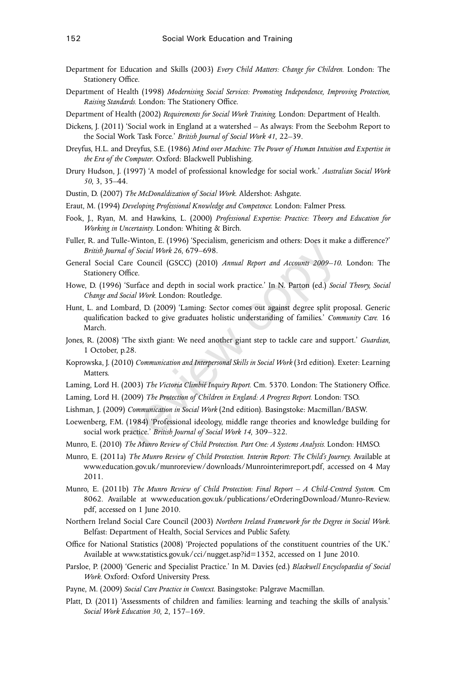- Department for Education and Skills (2003) *Every Child Matters: Change for Children.* London: The Stationery Office.
- Department of Health (1998) *Modernising Social Services: Promoting Independence, Improving Protection, Raising Standards.* London: The Stationery Office.

Department of Health (2002) *Requirements for Social Work Training.* London: Department of Health.

- Dickens, J. (2011) 'Social work in England at a watershed As always: From the Seebohm Report to the Social Work Task Force.' *British Journal of Social Work 41*, 22–39.
- Dreyfus, H.L. and Dreyfus, S.E. (1986) *Mind over Machine: The Power of Human Intuition and Expertise in the Era of the Computer*. Oxford: Blackwell Publishing.
- Drury Hudson, J. (1997) 'A model of professional knowledge for social work.' *Australian Social Work 50*, 3, 35–44.
- Dustin, D. (2007) *The McDonaldization of Social Work*. Aldershot: Ashgate.
- Eraut, M. (1994) *Developing Professional Knowledge and Competence.* London: Falmer Press.
- Fook, J., Ryan, M. and Hawkins, L. (2000) *Professional Expertise: Practice: Theory and Education for Working in Uncertainty.* London: Whiting & Birch.
- Fuller, R. and Tulle-Winton, E. (1996) 'Specialism, genericism and others: Does it make a difference?' *British Journal of Social Work 26*, 679–698.
- General Social Care Council (GSCC) (2010) *Annual Report and Accounts 2009–10*. London: The Stationery Office.
- Howe, D. (1996) 'Surface and depth in social work practice.' In N. Parton (ed.) *Social Theory, Social Change and Social Work.* London: Routledge.
- Hunt, L. and Lombard, D. (2009) 'Laming: Sector comes out against degree split proposal. Generic qualification backed to give graduates holistic understanding of families.' *Community Care.* 16 March. Final, r.e. ( $2\times9$ ) - pectrosian, generation and others. Does a him<br>of Social Work 26, 679–698.<br>e Council (GSCC) (2010) *Annual Report and Accounts 2009–10*<br>ice.<br>turface and depth in social work practice.' In N. Parton (
- Jones, R. (2008) 'The sixth giant: We need another giant step to tackle care and support.' *Guardian*, 1 October, p.28.
- Koprowska, J. (2010) *Communication and Interpersonal Skills in Social Work* (3rd edition). Exeter: Learning Matters.
- Laming, Lord H. (2003) *The Victoria Climbié Inquiry Report.* Cm. 5370. London: The Stationery Office.
- Laming, Lord H. (2009) *The Protection of Children in England: A Progress Report.* London: TSO.
- Lishman, J. (2009) *Communication in Social Work* (2nd edition). Basingstoke: Macmillan/BASW.
- Loewenberg, F.M. (1984) 'Professional ideology, middle range theories and knowledge building for social work practice.' *British Journal of Social Work 14*, 309–322.
- Munro, E. (2010) *The Munro Review of Child Protection. Part One: A Systems Analysis.* London: HMSO.
- Munro, E. (2011a) *The Munro Review of Child Protection. Interim Report: The Child's Journey.* Available at www.education.gov.uk/munroreview/downloads/Munrointerimreport.pdf, accessed on 4 May 2011.
- Munro, E. (2011b) *The Munro Review of Child Protection: Final Report A Child-Centred System*. Cm 8062. Available at www.education.gov.uk/publications/eOrderingDownload/Munro-Review. pdf, accessed on 1 June 2010.
- Northern Ireland Social Care Council (2003) *Northern Ireland Framework for the Degree in Social Work*. Belfast: Department of Health, Social Services and Public Safety.
- Office for National Statistics (2008) 'Projected populations of the constituent countries of the UK.' Available at www.statistics.gov.uk/cci/nugget.asp?id=1352, accessed on 1 June 2010.
- Parsloe, P. (2000) 'Generic and Specialist Practice.' In M. Davies (ed.) *Blackwell Encyclopaedia of Social Work.* Oxford: Oxford University Press.
- Payne, M. (2009) *Social Care Practice in Context*. Basingstoke: Palgrave Macmillan.
- Platt, D. (2011) 'Assessments of children and families: learning and teaching the skills of analysis.' *Social Work Education 30*, 2, 157–169.